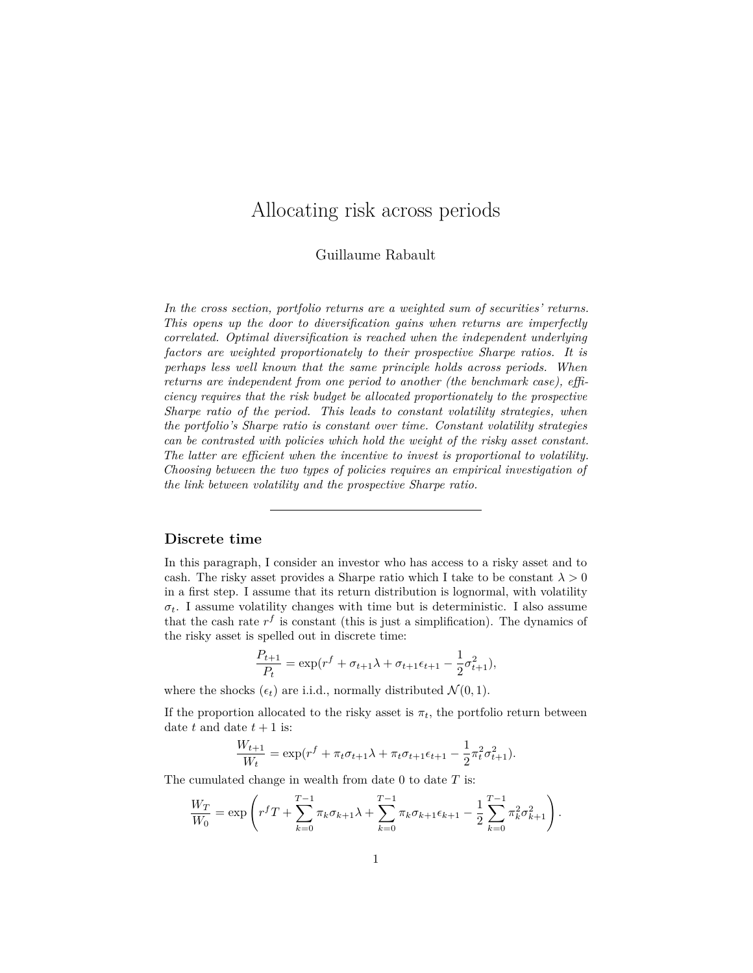# <span id="page-0-0"></span>Allocating risk across periods

Guillaume Rabault

*In the cross section, portfolio returns are a weighted sum of securities' returns. This opens up the door to diversification gains when returns are imperfectly correlated. Optimal diversification is reached when the independent underlying factors are weighted proportionately to their prospective Sharpe ratios. It is perhaps less well known that the same principle holds across periods. When returns are independent from one period to another (the benchmark case), efficiency requires that the risk budget be allocated proportionately to the prospective Sharpe ratio of the period. This leads to constant volatility strategies, when the portfolio's Sharpe ratio is constant over time. Constant volatility strategies can be contrasted with policies which hold the weight of the risky asset constant. The latter are efficient when the incentive to invest is proportional to volatility. Choosing between the two types of policies requires an empirical investigation of the link between volatility and the prospective Sharpe ratio.*

#### **Discrete time**

In this paragraph, I consider an investor who has access to a risky asset and to cash. The risky asset provides a Sharpe ratio which I take to be constant  $\lambda > 0$ in a first step. I assume that its return distribution is lognormal, with volatility  $\sigma_t$ . I assume volatility changes with time but is deterministic. I also assume that the cash rate  $r<sup>f</sup>$  is constant (this is just a simplification). The dynamics of the risky asset is spelled out in discrete time:

$$
\frac{P_{t+1}}{P_t} = \exp(r^f + \sigma_{t+1}\lambda + \sigma_{t+1}\epsilon_{t+1} - \frac{1}{2}\sigma_{t+1}^2),
$$

where the shocks  $(\epsilon_t)$  are i.i.d., normally distributed  $\mathcal{N}(0, 1)$ .

If the proportion allocated to the risky asset is  $\pi_t$ , the portfolio return between date  $t$  and date  $t + 1$  is:

$$
\frac{W_{t+1}}{W_t} = \exp(r^f + \pi_t \sigma_{t+1} \lambda + \pi_t \sigma_{t+1} \epsilon_{t+1} - \frac{1}{2} \pi_t^2 \sigma_{t+1}^2).
$$

The cumulated change in wealth from date 0 to date *T* is:

$$
\frac{W_T}{W_0} = \exp\left(r^f T + \sum_{k=0}^{T-1} \pi_k \sigma_{k+1} \lambda + \sum_{k=0}^{T-1} \pi_k \sigma_{k+1} \epsilon_{k+1} - \frac{1}{2} \sum_{k=0}^{T-1} \pi_k^2 \sigma_{k+1}^2\right).
$$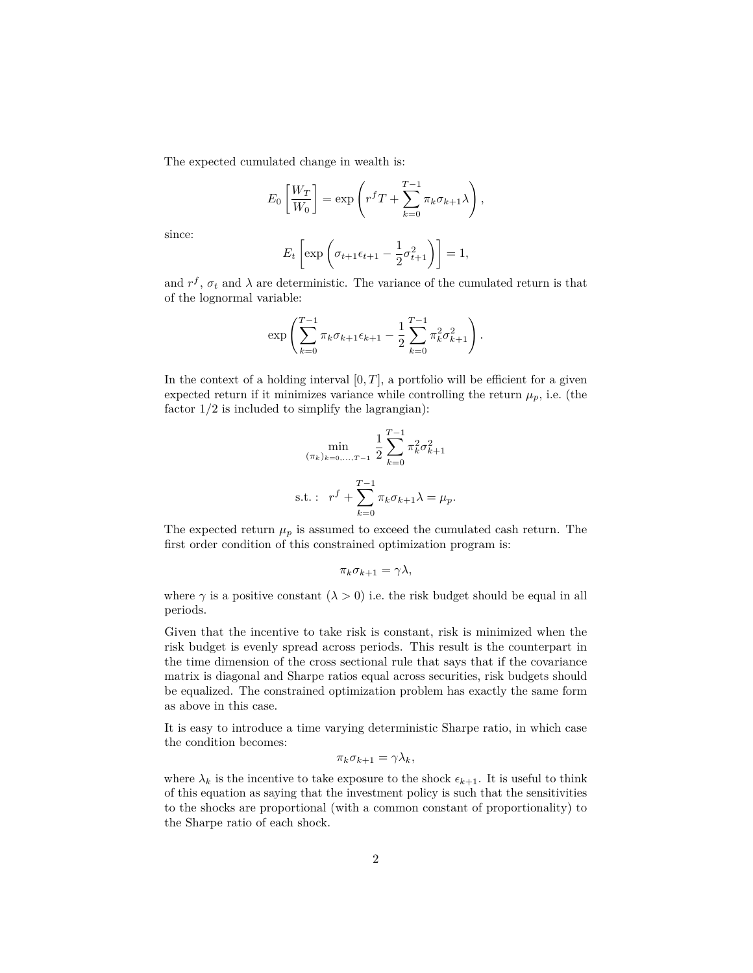The expected cumulated change in wealth is:

$$
E_0\left[\frac{W_T}{W_0}\right] = \exp\left(r^f T + \sum_{k=0}^{T-1} \pi_k \sigma_{k+1} \lambda\right),\,
$$

since:

$$
E_t\left[\exp\left(\sigma_{t+1}\epsilon_{t+1}-\frac{1}{2}\sigma_{t+1}^2\right)\right]=1,
$$

and  $r^f$ ,  $\sigma_t$  and  $\lambda$  are deterministic. The variance of the cumulated return is that of the lognormal variable:

$$
\exp\left(\sum_{k=0}^{T-1} \pi_k \sigma_{k+1} \epsilon_{k+1} - \frac{1}{2} \sum_{k=0}^{T-1} \pi_k^2 \sigma_{k+1}^2\right).
$$

In the context of a holding interval  $[0, T]$ , a portfolio will be efficient for a given expected return if it minimizes variance while controlling the return  $\mu_p$ , i.e. (the factor 1*/*2 is included to simplify the lagrangian):

$$
\min_{(\pi_k)_{k=0,\dots,T-1}} \frac{1}{2} \sum_{k=0}^{T-1} \pi_k^2 \sigma_{k+1}^2
$$
  
s.t. :  $r^f + \sum_{k=0}^{T-1} \pi_k \sigma_{k+1} \lambda = \mu_p.$ 

The expected return  $\mu_p$  is assumed to exceed the cumulated cash return. The first order condition of this constrained optimization program is:

$$
\pi_k \sigma_{k+1} = \gamma \lambda,
$$

where  $\gamma$  is a positive constant  $(\lambda > 0)$  i.e. the risk budget should be equal in all periods.

Given that the incentive to take risk is constant, risk is minimized when the risk budget is evenly spread across periods. This result is the counterpart in the time dimension of the cross sectional rule that says that if the covariance matrix is diagonal and Sharpe ratios equal across securities, risk budgets should be equalized. The constrained optimization problem has exactly the same form as above in this case.

It is easy to introduce a time varying deterministic Sharpe ratio, in which case the condition becomes:

$$
\pi_k \sigma_{k+1} = \gamma \lambda_k,
$$

where  $\lambda_k$  is the incentive to take exposure to the shock  $\epsilon_{k+1}$ . It is useful to think of this equation as saying that the investment policy is such that the sensitivities to the shocks are proportional (with a common constant of proportionality) to the Sharpe ratio of each shock.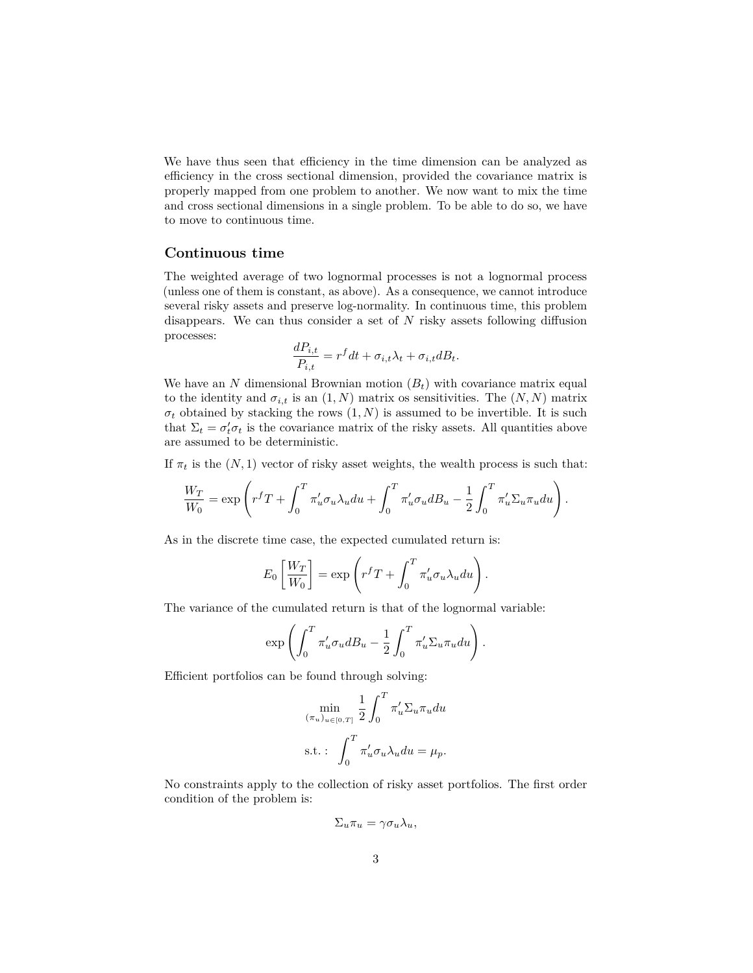We have thus seen that efficiency in the time dimension can be analyzed as efficiency in the cross sectional dimension, provided the covariance matrix is properly mapped from one problem to another. We now want to mix the time and cross sectional dimensions in a single problem. To be able to do so, we have to move to continuous time.

#### **Continuous time**

The weighted average of two lognormal processes is not a lognormal process (unless one of them is constant, as above). As a consequence, we cannot introduce several risky assets and preserve log-normality. In continuous time, this problem disappears. We can thus consider a set of *N* risky assets following diffusion processes:

$$
\frac{dP_{i,t}}{P_{i,t}} = r^f dt + \sigma_{i,t} \lambda_t + \sigma_{i,t} dB_t.
$$

We have an  $N$  dimensional Brownian motion  $(B_t)$  with covariance matrix equal to the identity and  $\sigma_{i,t}$  is an  $(1, N)$  matrix os sensitivities. The  $(N, N)$  matrix  $\sigma_t$  obtained by stacking the rows  $(1, N)$  is assumed to be invertible. It is such that  $\Sigma_t = \sigma'_t \sigma_t$  is the covariance matrix of the risky assets. All quantities above are assumed to be deterministic.

If  $\pi_t$  is the  $(N,1)$  vector of risky asset weights, the wealth process is such that:

$$
\frac{W_T}{W_0} = \exp\left(r^f T + \int_0^T \pi'_u \sigma_u \lambda_u du + \int_0^T \pi'_u \sigma_u dB_u - \frac{1}{2} \int_0^T \pi'_u \Sigma_u \pi_u du\right).
$$

As in the discrete time case, the expected cumulated return is:

$$
E_0 \left[ \frac{W_T}{W_0} \right] = \exp \left( r^f T + \int_0^T \pi'_u \sigma_u \lambda_u du \right).
$$

The variance of the cumulated return is that of the lognormal variable:

$$
\exp\left(\int_0^T \pi'_u \sigma_u dB_u - \frac{1}{2} \int_0^T \pi'_u \Sigma_u \pi_u du\right).
$$

Efficient portfolios can be found through solving:

$$
\min_{(\pi_u)_{u \in [0,T]}} \frac{1}{2} \int_0^T \pi'_u \Sigma_u \pi_u du
$$
  
s.t. : 
$$
\int_0^T \pi'_u \sigma_u \lambda_u du = \mu_p.
$$

No constraints apply to the collection of risky asset portfolios. The first order condition of the problem is:

$$
\Sigma_u \pi_u = \gamma \sigma_u \lambda_u,
$$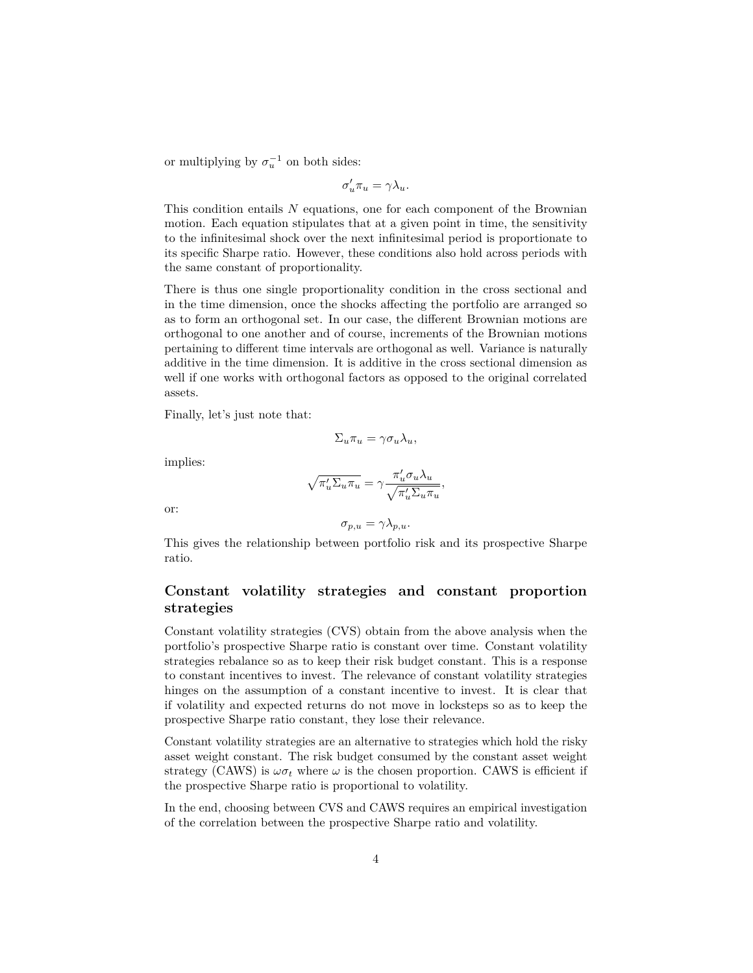or multiplying by  $\sigma_u^{-1}$  on both sides:

$$
\sigma'_u \pi_u = \gamma \lambda_u.
$$

This condition entails *N* equations, one for each component of the Brownian motion. Each equation stipulates that at a given point in time, the sensitivity to the infinitesimal shock over the next infinitesimal period is proportionate to its specific Sharpe ratio. However, these conditions also hold across periods with the same constant of proportionality.

There is thus one single proportionality condition in the cross sectional and in the time dimension, once the shocks affecting the portfolio are arranged so as to form an orthogonal set. In our case, the different Brownian motions are orthogonal to one another and of course, increments of the Brownian motions pertaining to different time intervals are orthogonal as well. Variance is naturally additive in the time dimension. It is additive in the cross sectional dimension as well if one works with orthogonal factors as opposed to the original correlated assets.

Finally, let's just note that:

$$
\Sigma_u \pi_u = \gamma \sigma_u \lambda_u,
$$

implies:

$$
\sqrt{\pi_u' \Sigma_u \pi_u} = \gamma \frac{\pi_u' \sigma_u \lambda_u}{\sqrt{\pi_u' \Sigma_u \pi_u}},
$$

or:

$$
\sigma_{p,u} = \gamma \lambda_{p,u}.
$$

This gives the relationship between portfolio risk and its prospective Sharpe ratio.

### **Constant volatility strategies and constant proportion strategies**

Constant volatility strategies (CVS) obtain from the above analysis when the portfolio's prospective Sharpe ratio is constant over time. Constant volatility strategies rebalance so as to keep their risk budget constant. This is a response to constant incentives to invest. The relevance of constant volatility strategies hinges on the assumption of a constant incentive to invest. It is clear that if volatility and expected returns do not move in locksteps so as to keep the prospective Sharpe ratio constant, they lose their relevance.

Constant volatility strategies are an alternative to strategies which hold the risky asset weight constant. The risk budget consumed by the constant asset weight strategy (CAWS) is  $\omega \sigma_t$  where  $\omega$  is the chosen proportion. CAWS is efficient if the prospective Sharpe ratio is proportional to volatility.

In the end, choosing between CVS and CAWS requires an empirical investigation of the correlation between the prospective Sharpe ratio and volatility.